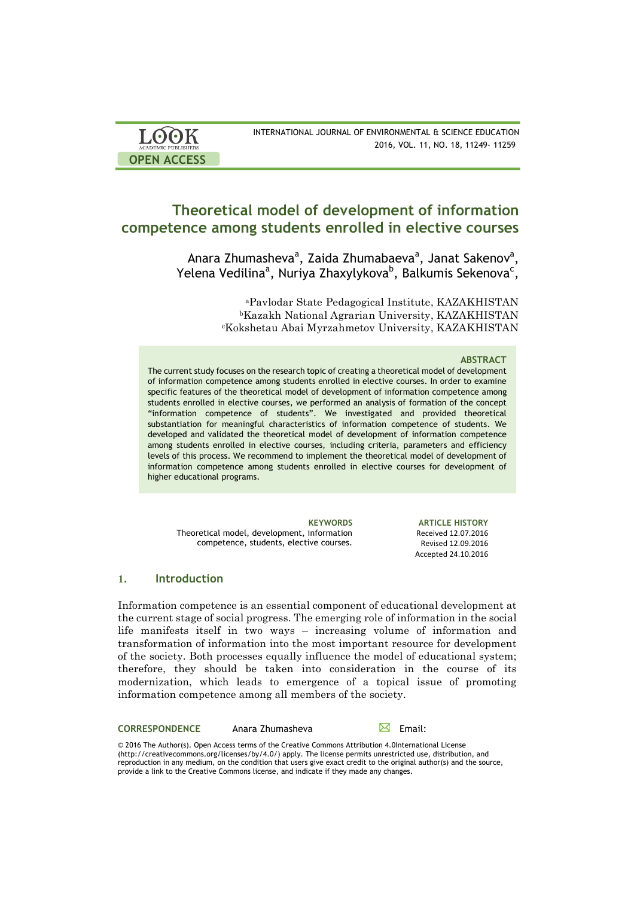| <b>LOOK</b>                | INTERNATIONAL JOURNAL OF ENVIRONMENTAL & SCIENCE EDUCATION |
|----------------------------|------------------------------------------------------------|
| <b>ACADEMIC PUBLISHERS</b> | 2016, VOL. 11, NO. 18, 11249-11259                         |
| <b>OPEN ACCESS</b>         |                                                            |

# **Theoretical model of development of information competence among students enrolled in elective courses**

Anara Zhumasheva<sup>a</sup>, Zaida Zhumabaeva<sup>a</sup>, Janat Sakenov<sup>a</sup>, Yelena Vedilina<sup>a</sup>, Nuriya Zhaxylykova<sup>b</sup>, Balkumis Sekenova<sup>c</sup>,

> aPavlodar State Pedagogical Institute, KAZAKHISTAN bKazakh National Agrarian University, KAZAKHISTAN cKokshetau Abai Myrzahmetov University, KAZAKHISTAN

### **ABSTRACT**

The current study focuses on the research topic of creating a theoretical model of development of information competence among students enrolled in elective courses. In order to examine specific features of the theoretical model of development of information competence among students enrolled in elective courses, we performed an analysis of formation of the concept "information competence of students". We investigated and provided theoretical substantiation for meaningful characteristics of information competence of students. We developed and validated the theoretical model of development of information competence among students enrolled in elective courses, including criteria, parameters and efficiency levels of this process. We recommend to implement the theoretical model of development of information competence among students enrolled in elective courses for development of higher educational programs.

**KEYWORDS ARTICLE HISTORY** Theoretical model, development, information competence, students, elective courses.

Received 12.07.2016 Revised 12.09.2016 Accepted 24.10.2016 

## **1. Introduction**

Information competence is an essential component of educational development at the current stage of social progress. The emerging role of information in the social life manifests itself in two ways – increasing volume of information and transformation of information into the most important resource for development of the society. Both processes equally influence the model of educational system; therefore, they should be taken into consideration in the course of its modernization, which leads to emergence of a topical issue of promoting information competence among all members of the society.

**CORRESPONDENCE** Anara Zhumasheva **Email:** 

© 2016 The Author(s). Open Access terms of the Creative Commons Attribution 4.0International License (http://creativecommons.org/licenses/by/4.0/) apply. The license permits unrestricted use, distribution, and reproduction in any medium, on the condition that users give exact credit to the original author(s) and the source, provide a link to the Creative Commons license, and indicate if they made any changes.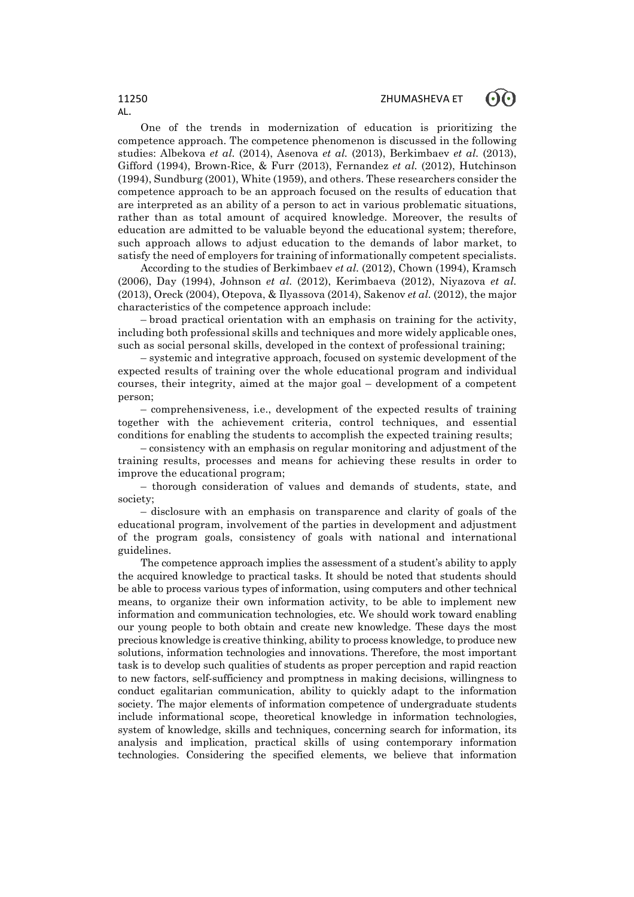AL.

One of the trends in modernization of education is prioritizing the competence approach. The competence phenomenon is discussed in the following studies: Albekova *et al.* (2014), Asenova *et al.* (2013), Berkimbaev *et al.* (2013), Gifford (1994), Brown-Rice, & Furr (2013), Fernandez *et al.* (2012), Hutchinson (1994), Sundburg (2001), White (1959), and others. These researchers consider the competence approach to be an approach focused on the results of education that are interpreted as an ability of a person to act in various problematic situations, rather than as total amount of acquired knowledge. Moreover, the results of education are admitted to be valuable beyond the educational system; therefore, such approach allows to adjust education to the demands of labor market, to satisfy the need of employers for training of informationally competent specialists.

According to the studies of Berkimbaev *et al.* (2012), Chown (1994), Kramsch (2006), Day (1994), Johnson *et al.* (2012), Kerimbaeva (2012), Niyazova *et al.* (2013), Oreck (2004), Otepova, & Ilyassova (2014), Sakenov *et al.* (2012), the major characteristics of the competence approach include:

– broad practical orientation with an emphasis on training for the activity, including both professional skills and techniques and more widely applicable ones, such as social personal skills, developed in the context of professional training;

– systemic and integrative approach, focused on systemic development of the expected results of training over the whole educational program and individual courses, their integrity, aimed at the major goal – development of a competent person;

– comprehensiveness, i.e., development of the expected results of training together with the achievement criteria, control techniques, and essential conditions for enabling the students to accomplish the expected training results;

– consistency with an emphasis on regular monitoring and adjustment of the training results, processes and means for achieving these results in order to improve the educational program;

– thorough consideration of values and demands of students, state, and society;

– disclosure with an emphasis on transparence and clarity of goals of the educational program, involvement of the parties in development and adjustment of the program goals, consistency of goals with national and international guidelines.

The competence approach implies the assessment of a student's ability to apply the acquired knowledge to practical tasks. It should be noted that students should be able to process various types of information, using computers and other technical means, to organize their own information activity, to be able to implement new information and communication technologies, etc. We should work toward enabling our young people to both obtain and create new knowledge. These days the most precious knowledge is creative thinking, ability to process knowledge, to produce new solutions, information technologies and innovations. Therefore, the most important task is to develop such qualities of students as proper perception and rapid reaction to new factors, self-sufficiency and promptness in making decisions, willingness to conduct egalitarian communication, ability to quickly adapt to the information society. The major elements of information competence of undergraduate students include informational scope, theoretical knowledge in information technologies, system of knowledge, skills and techniques, concerning search for information, its analysis and implication, practical skills of using contemporary information technologies. Considering the specified elements, we believe that information

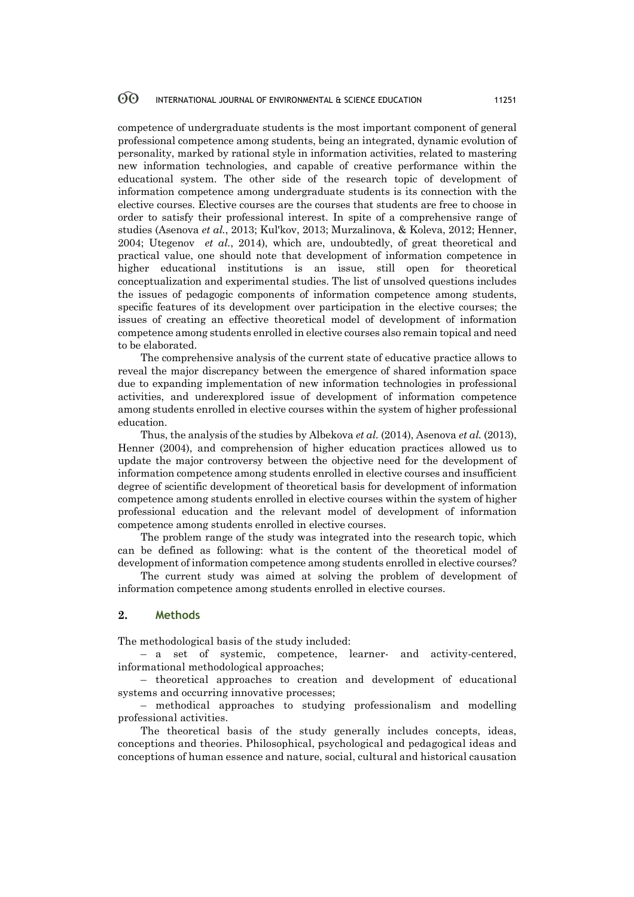### 60 INTERNATIONAL JOURNAL OF ENVIRONMENTAL & SCIENCE EDUCATION 11251

competence of undergraduate students is the most important component of general professional competence among students, being an integrated, dynamic evolution of personality, marked by rational style in information activities, related to mastering new information technologies, and capable of creative performance within the educational system. The other side of the research topic of development of information competence among undergraduate students is its connection with the elective courses. Elective courses are the courses that students are free to choose in order to satisfy their professional interest. In spite of a comprehensive range of studies (Asenova *et al.*, 2013; Kul'kov, 2013; Murzalinova, & Koleva, 2012; Henner, 2004; Utegenov *et al.*, 2014), which are, undoubtedly, of great theoretical and practical value, one should note that development of information competence in higher educational institutions is an issue, still open for theoretical conceptualization and experimental studies. The list of unsolved questions includes the issues of pedagogic components of information competence among students, specific features of its development over participation in the elective courses; the issues of creating an effective theoretical model of development of information competence among students enrolled in elective courses also remain topical and need to be elaborated.

The comprehensive analysis of the current state of educative practice allows to reveal the major discrepancy between the emergence of shared information space due to expanding implementation of new information technologies in professional activities, and underexplored issue of development of information competence among students enrolled in elective courses within the system of higher professional education.

Thus, the analysis of the studies by Albekova *et al.* (2014), Asenova *et al.* (2013), Henner (2004), and comprehension of higher education practices allowed us to update the major controversy between the objective need for the development of information competence among students enrolled in elective courses and insufficient degree of scientific development of theoretical basis for development of information competence among students enrolled in elective courses within the system of higher professional education and the relevant model of development of information competence among students enrolled in elective courses.

The problem range of the study was integrated into the research topic, which can be defined as following: what is the content of the theoretical model of development of information competence among students enrolled in elective courses?

The current study was aimed at solving the problem of development of information competence among students enrolled in elective courses.

## **2. Methods**

The methodological basis of the study included:

– a set of systemic, competence, learner- and activity-centered, informational methodological approaches;

– theoretical approaches to creation and development of educational systems and occurring innovative processes;

– methodical approaches to studying professionalism and modelling professional activities.

The theoretical basis of the study generally includes concepts, ideas, conceptions and theories. Philosophical, psychological and pedagogical ideas and conceptions of human essence and nature, social, cultural and historical causation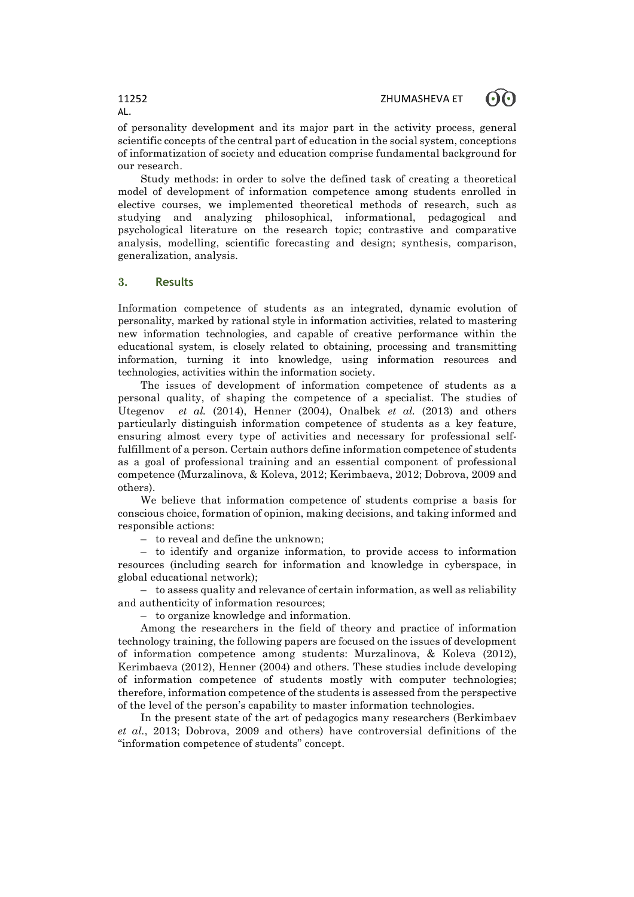

of personality development and its major part in the activity process, general scientific concepts of the central part of education in the social system, conceptions of informatization of society and education comprise fundamental background for our research.

Study methods: in order to solve the defined task of creating a theoretical model of development of information competence among students enrolled in elective courses, we implemented theoretical methods of research, such as studying and analyzing philosophical, informational, pedagogical and psychological literature on the research topic; contrastive and comparative analysis, modelling, scientific forecasting and design; synthesis, comparison, generalization, analysis.

## **3. Results**

Information competence of students as an integrated, dynamic evolution of personality, marked by rational style in information activities, related to mastering new information technologies, and capable of creative performance within the educational system, is closely related to obtaining, processing and transmitting information, turning it into knowledge, using information resources and technologies, activities within the information society.

The issues of development of information competence of students as a personal quality, of shaping the competence of a specialist. The studies of Utegenov *et al.* (2014), Henner (2004), Onalbek *et al.* (2013) and others particularly distinguish information competence of students as a key feature, ensuring almost every type of activities and necessary for professional selffulfillment of a person. Certain authors define information competence of students as a goal of professional training and an essential component of professional competence (Murzalinova, & Koleva, 2012; Kerimbaeva, 2012; Dobrova, 2009 and others).

We believe that information competence of students comprise a basis for conscious choice, formation of opinion, making decisions, and taking informed and responsible actions:

– to reveal and define the unknown;

– to identify and organize information, to provide access to information resources (including search for information and knowledge in cyberspace, in global educational network);

– to assess quality and relevance of certain information, as well as reliability and authenticity of information resources;

– to organize knowledge and information.

Among the researchers in the field of theory and practice of information technology training, the following papers are focused on the issues of development of information competence among students: Murzalinova, & Koleva (2012), Kerimbaeva (2012), Henner (2004) and others. These studies include developing of information competence of students mostly with computer technologies; therefore, information competence of the students is assessed from the perspective of the level of the person's capability to master information technologies.

In the present state of the art of pedagogics many researchers (Berkimbaev *et al.*, 2013; Dobrova, 2009 and others) have controversial definitions of the "information competence of students" concept.

AL.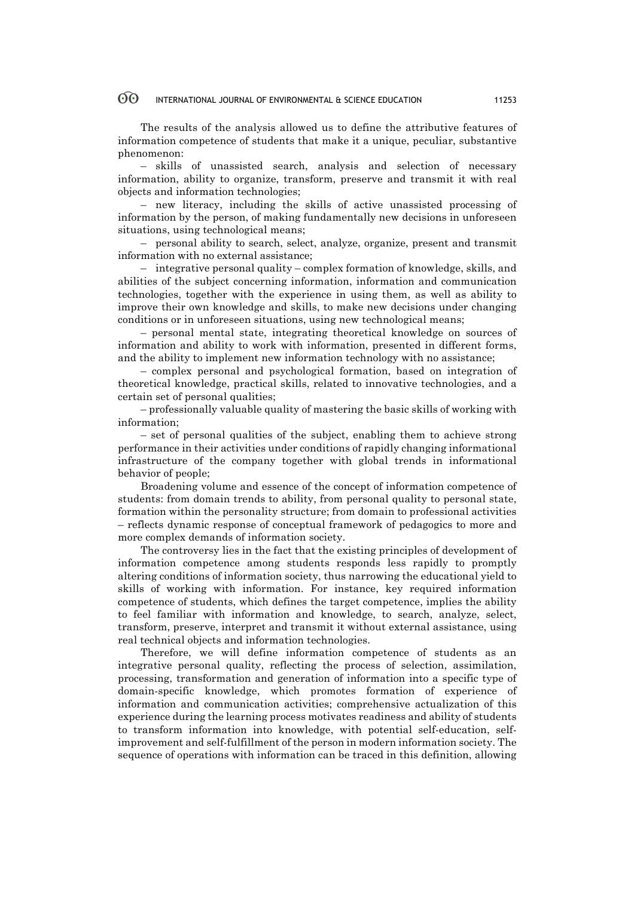### 60 INTERNATIONAL JOURNAL OF ENVIRONMENTAL & SCIENCE EDUCATION 11253

The results of the analysis allowed us to define the attributive features of information competence of students that make it a unique, peculiar, substantive phenomenon:

– skills of unassisted search, analysis and selection of necessary information, ability to organize, transform, preserve and transmit it with real objects and information technologies;

– new literacy, including the skills of active unassisted processing of information by the person, of making fundamentally new decisions in unforeseen situations, using technological means;

– personal ability to search, select, analyze, organize, present and transmit information with no external assistance;

– integrative personal quality – complex formation of knowledge, skills, and abilities of the subject concerning information, information and communication technologies, together with the experience in using them, as well as ability to improve their own knowledge and skills, to make new decisions under changing conditions or in unforeseen situations, using new technological means;

– personal mental state, integrating theoretical knowledge on sources of information and ability to work with information, presented in different forms, and the ability to implement new information technology with no assistance;

– complex personal and psychological formation, based on integration of theoretical knowledge, practical skills, related to innovative technologies, and a certain set of personal qualities;

– professionally valuable quality of mastering the basic skills of working with information;

– set of personal qualities of the subject, enabling them to achieve strong performance in their activities under conditions of rapidly changing informational infrastructure of the company together with global trends in informational behavior of people;

Broadening volume and essence of the concept of information competence of students: from domain trends to ability, from personal quality to personal state, formation within the personality structure; from domain to professional activities – reflects dynamic response of conceptual framework of pedagogics to more and more complex demands of information society.

The controversy lies in the fact that the existing principles of development of information competence among students responds less rapidly to promptly altering conditions of information society, thus narrowing the educational yield to skills of working with information. For instance, key required information competence of students, which defines the target competence, implies the ability to feel familiar with information and knowledge, to search, analyze, select, transform, preserve, interpret and transmit it without external assistance, using real technical objects and information technologies.

Therefore, we will define information competence of students as an integrative personal quality, reflecting the process of selection, assimilation, processing, transformation and generation of information into a specific type of domain-specific knowledge, which promotes formation of experience of information and communication activities; comprehensive actualization of this experience during the learning process motivates readiness and ability of students to transform information into knowledge, with potential self-education, selfimprovement and self-fulfillment of the person in modern information society. The sequence of operations with information can be traced in this definition, allowing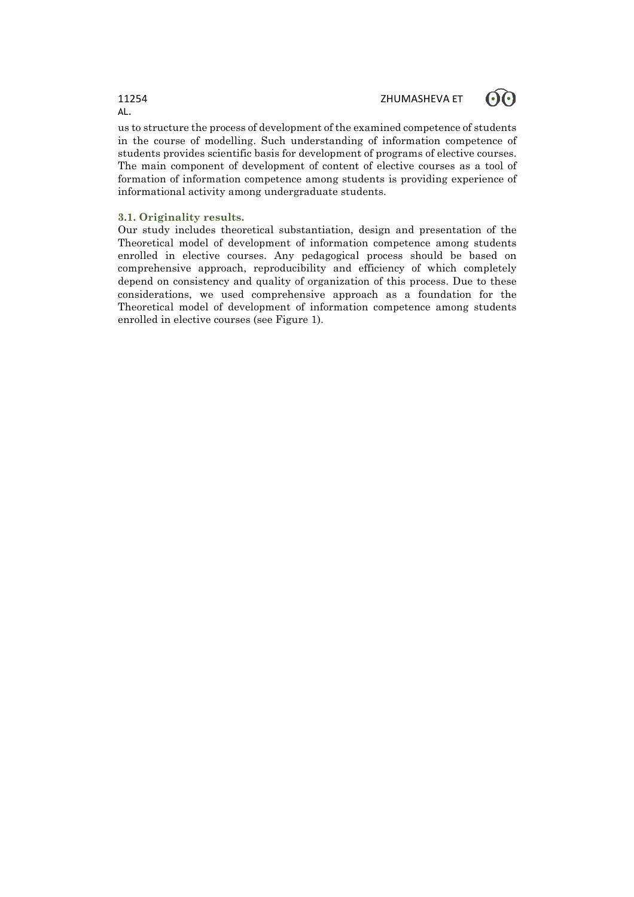

us to structure the process of development of the examined competence of students in the course of modelling. Such understanding of information competence of students provides scientific basis for development of programs of elective courses. The main component of development of content of elective courses as a tool of formation of information competence among students is providing experience of informational activity among undergraduate students.

### **3.1. Originality results.**

Our study includes theoretical substantiation, design and presentation of the Theoretical model of development of information competence among students enrolled in elective courses. Any pedagogical process should be based on comprehensive approach, reproducibility and efficiency of which completely depend on consistency and quality of organization of this process. Due to these considerations, we used comprehensive approach as a foundation for the Theoretical model of development of information competence among students enrolled in elective courses (see Figure 1).

# AL.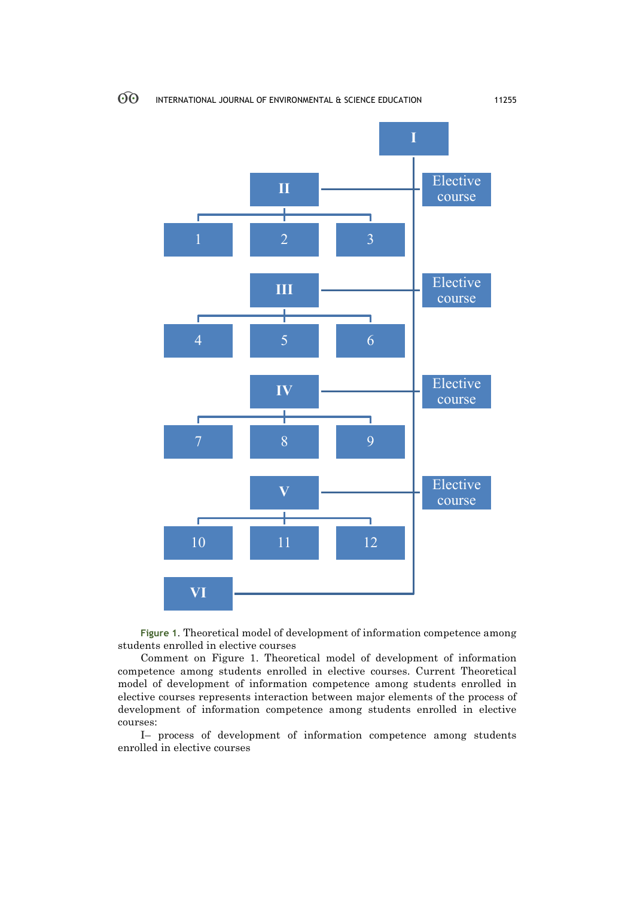$\odot$ 



**Figure 1**. Theoretical model of development of information competence among students enrolled in elective courses

Comment on Figure 1. Theoretical model of development of information competence among students enrolled in elective courses. Current Theoretical model of development of information competence among students enrolled in elective courses represents interaction between major elements of the process of development of information competence among students enrolled in elective courses:

I– process of development of information competence among students enrolled in elective courses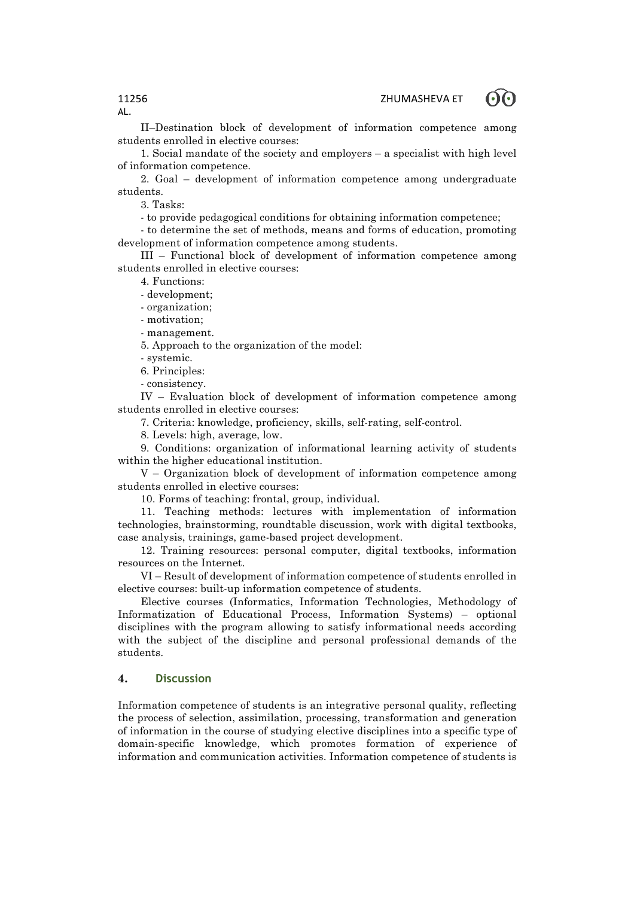രെ



II–Destination block of development of information competence among students enrolled in elective courses:

1. Social mandate of the society and employers – a specialist with high level of information competence.

2. Goal – development of information competence among undergraduate students.

3. Tasks:

- to provide pedagogical conditions for obtaining information competence;

- to determine the set of methods, means and forms of education, promoting development of information competence among students.

III – Functional block of development of information competence among students enrolled in elective courses:

4. Functions:

- development;

- organization;

- motivation;

- management.

5. Approach to the organization of the model:

- systemic.

6. Principles:

- consistency.

IV – Evaluation block of development of information competence among students enrolled in elective courses:

7. Criteria: knowledge, proficiency, skills, self-rating, self-control.

8. Levels: high, average, low.

9. Conditions: organization of informational learning activity of students within the higher educational institution.

V – Organization block of development of information competence among students enrolled in elective courses:

10. Forms of teaching: frontal, group, individual.

11. Teaching methods: lectures with implementation of information technologies, brainstorming, roundtable discussion, work with digital textbooks, case analysis, trainings, game-based project development.

12. Training resources: personal computer, digital textbooks, information resources on the Internet.

VI – Result of development of information competence of students enrolled in elective courses: built-up information competence of students.

Elective courses (Informatics, Information Technologies, Methodology of Informatization of Educational Process, Information Systems) – optional disciplines with the program allowing to satisfy informational needs according with the subject of the discipline and personal professional demands of the students.

## **4. Discussion**

Information competence of students is an integrative personal quality, reflecting the process of selection, assimilation, processing, transformation and generation of information in the course of studying elective disciplines into a specific type of domain-specific knowledge, which promotes formation of experience of information and communication activities. Information competence of students is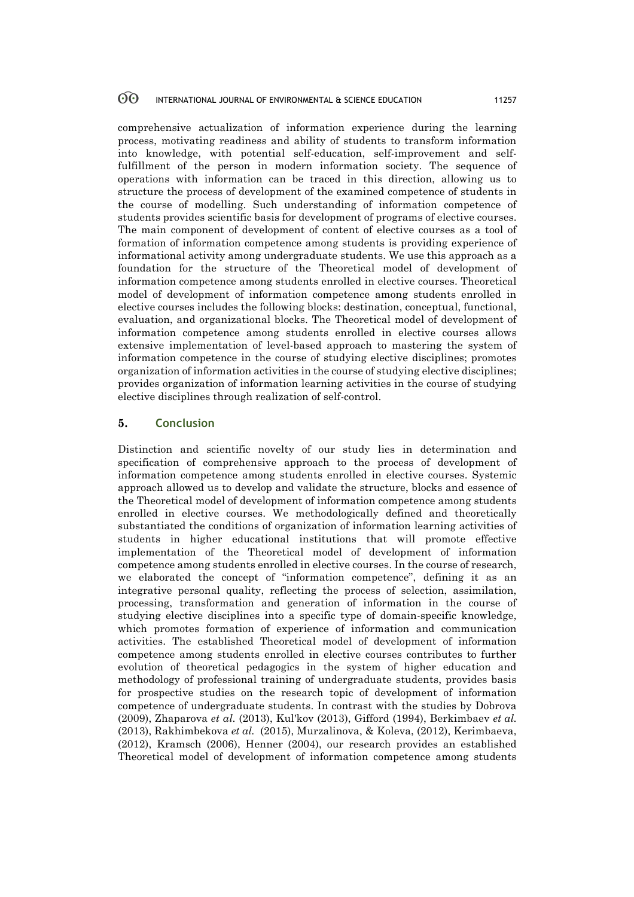### 60 INTERNATIONAL JOURNAL OF ENVIRONMENTAL & SCIENCE EDUCATION 11257

comprehensive actualization of information experience during the learning process, motivating readiness and ability of students to transform information into knowledge, with potential self-education, self-improvement and selffulfillment of the person in modern information society. The sequence of operations with information can be traced in this direction, allowing us to structure the process of development of the examined competence of students in the course of modelling. Such understanding of information competence of students provides scientific basis for development of programs of elective courses. The main component of development of content of elective courses as a tool of formation of information competence among students is providing experience of informational activity among undergraduate students. We use this approach as a foundation for the structure of the Theoretical model of development of information competence among students enrolled in elective courses. Theoretical model of development of information competence among students enrolled in elective courses includes the following blocks: destination, conceptual, functional, evaluation, and organizational blocks. The Theoretical model of development of information competence among students enrolled in elective courses allows extensive implementation of level-based approach to mastering the system of information competence in the course of studying elective disciplines; promotes organization of information activities in the course of studying elective disciplines; provides organization of information learning activities in the course of studying elective disciplines through realization of self-control.

## **5. Conclusion**

Distinction and scientific novelty of our study lies in determination and specification of comprehensive approach to the process of development of information competence among students enrolled in elective courses. Systemic approach allowed us to develop and validate the structure, blocks and essence of the Theoretical model of development of information competence among students enrolled in elective courses. We methodologically defined and theoretically substantiated the conditions of organization of information learning activities of students in higher educational institutions that will promote effective implementation of the Theoretical model of development of information competence among students enrolled in elective courses. In the course of research, we elaborated the concept of "information competence", defining it as an integrative personal quality, reflecting the process of selection, assimilation, processing, transformation and generation of information in the course of studying elective disciplines into a specific type of domain-specific knowledge, which promotes formation of experience of information and communication activities. The established Theoretical model of development of information competence among students enrolled in elective courses contributes to further evolution of theoretical pedagogics in the system of higher education and methodology of professional training of undergraduate students, provides basis for prospective studies on the research topic of development of information competence of undergraduate students. In contrast with the studies by Dobrova (2009), Zhaparova *et al.* (2013), Kul'kov (2013), Gifford (1994), Berkimbaev *et al.* (2013), Rakhimbekova *et al.* (2015), Murzalinova, & Koleva, (2012), Kerimbaeva, (2012), Kramsch (2006), Henner (2004), our research provides an established Theoretical model of development of information competence among students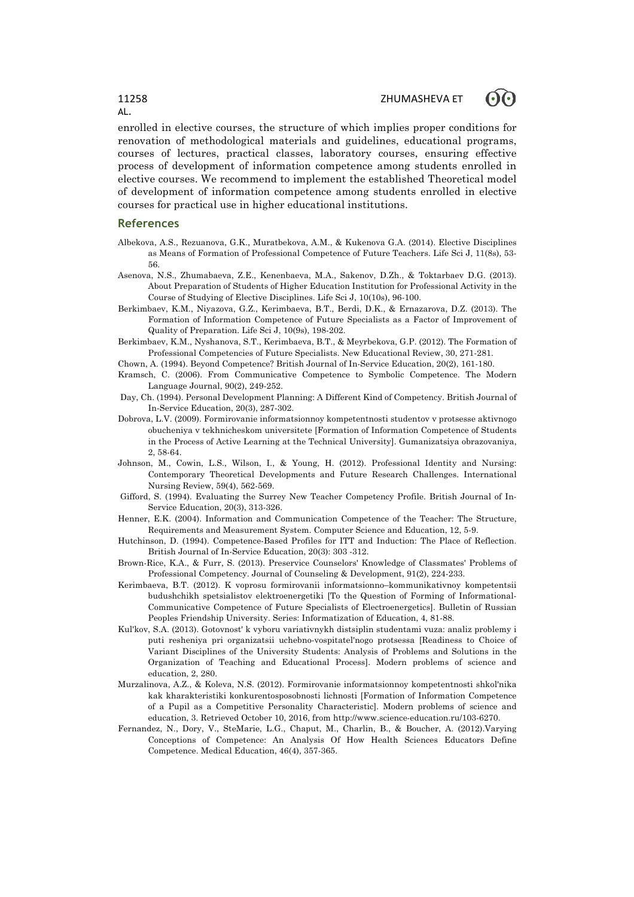

enrolled in elective courses, the structure of which implies proper conditions for renovation of methodological materials and guidelines, educational programs, courses of lectures, practical classes, laboratory courses, ensuring effective process of development of information competence among students enrolled in elective courses. We recommend to implement the established Theoretical model of development of information competence among students enrolled in elective courses for practical use in higher educational institutions.

### **References**

- Albekova, A.S., Rezuanova, G.K., Muratbekova, A.M., & Kukenova G.A. (2014). Elective Disciplines as Means of Formation of Professional Competence of Future Teachers. Life Sci J, 11(8s), 53- 56.
- Asenova, N.S., Zhumabaeva, Z.E., Kenenbaeva, M.A., Sakenov, D.Zh., & Toktarbaev D.G. (2013). About Preparation of Students of Higher Education Institution for Professional Activity in the Course of Studying of Elective Disciplines. Life Sci J, 10(10s), 96-100.
- Berkimbaev, K.M., Niyazova, G.Z., Kerimbaeva, B.T., Berdi, D.K., & Ernazarova, D.Z. (2013). The Formation of Information Competence of Future Specialists as a Factor of Improvement of Quality of Preparation. Life Sci J, 10(9s), 198-202.
- Berkimbaev, K.M., Nyshanova, S.T., Kerimbaeva, B.T., & Meyrbekova, G.P. (2012). The Formation of Professional Competencies of Future Specialists. New Educational Review, 30, 271-281.
- Chown, A. (1994). Beyond Competence? British Journal of In-Service Education, 20(2), 161-180.
- Kramsch, C. (2006). From Communicative Competence to Symbolic Competence. The Modern Language Journal, 90(2), 249-252.
- Day, Ch. (1994). Personal Development Planning: A Different Kind of Competency. British Journal of In-Service Education, 20(3), 287-302.
- Dobrova, L.V. (2009). Formirovanie informatsionnoy kompetentnosti studentov v protsesse aktivnogo obucheniya v tekhnicheskom universitete [Formation of Information Competence of Students in the Process of Active Learning at the Technical University]. Gumanizatsiya obrazovaniya, 2, 58-64.
- Johnson, M., Cowin, L.S., Wilson, I., & Young, H. (2012). Professional Identity and Nursing: Contemporary Theoretical Developments and Future Research Challenges. International Nursing Review, 59(4), 562-569.
- Gifford, S. (1994). Evaluating the Surrey New Teacher Competency Profile. British Journal of In-Service Education, 20(3), 313-326.
- Henner, E.K. (2004). Information and Communication Competence of the Teacher: The Structure, Requirements and Measurement System. Computer Science and Education, 12, 5-9.
- Hutchinson, D. (1994). Competence-Based Profiles for ITT and Induction: The Place of Reflection. British Journal of In-Service Education, 20(3): 303 -312.
- Brown-Rice, K.A., & Furr, S. (2013). Preservice Counselors' Knowledge of Classmates' Problems of Professional Competency. Journal of Counseling & Development, 91(2), 224-233.
- Kerimbaeva, B.T. (2012). K voprosu formirovanii informatsionno–kommunikativnoy kompetentsii budushchikh spetsialistov elektroenergetiki [To the Question of Forming of Informational-Communicative Competence of Future Specialists of Electroenergetics]. Bulletin of Russian Peoples Friendship University. Series: Informatization of Education, 4, 81-88.
- Kul'kov, S.A. (2013). Gotovnost' k vyboru variativnykh distsiplin studentami vuza: analiz problemy i puti resheniya pri organizatsii uchebno-vospitatel'nogo protsessa [Readiness to Choice of Variant Disciplines of the University Students: Analysis of Problems and Solutions in the Organization of Teaching and Educational Process]. Modern problems of science and education, 2, 280.
- Murzalinova, A.Z., & Koleva, N.S. (2012). Formirovanie informatsionnoy kompetentnosti shkol'nika kak kharakteristiki konkurentosposobnosti lichnosti [Formation of Information Competence of a Pupil as a Competitive Personality Characteristic]. Modern problems of science and education, 3. Retrieved October 10, 2016, from http://www.science-education.ru/103-6270.
- Fernandez, N., Dory, V., SteMarie, L.G., Chaput, M., Charlin, B., & Boucher, A. (2012).Varying Conceptions of Competence: An Analysis Of How Health Sciences Educators Define Competence. Medical Education, 46(4), 357-365.

AL.